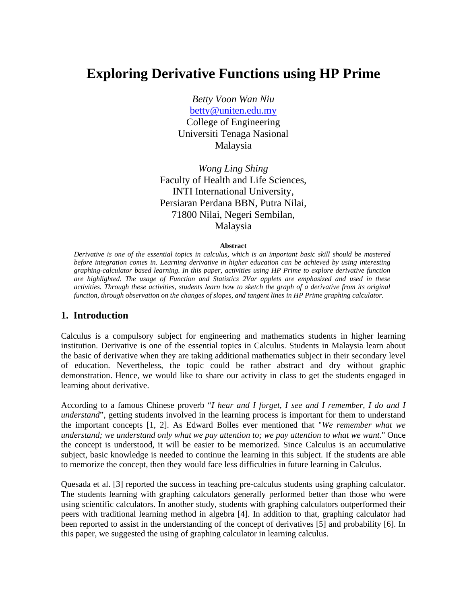# **Exploring Derivative Functions using HP Prime**

*Betty Voon Wan Niu*  betty@uniten.edu.my College of Engineering Universiti Tenaga Nasional Malaysia

*Wong Ling Shing* Faculty of Health and Life Sciences, INTI International University, Persiaran Perdana BBN, Putra Nilai, 71800 Nilai, Negeri Sembilan, Malaysia

#### **Abstract**

*Derivative is one of the essential topics in calculus, which is an important basic skill should be mastered before integration comes in. Learning derivative in higher education can be achieved by using interesting graphing-calculator based learning. In this paper, activities using HP Prime to explore derivative function are highlighted. The usage of Function and Statistics 2Var applets are emphasized and used in these activities. Through these activities, students learn how to sketch the graph of a derivative from its original function, through observation on the changes of slopes, and tangent lines in HP Prime graphing calculator.* 

### **1. Introduction**

Calculus is a compulsory subject for engineering and mathematics students in higher learning institution. Derivative is one of the essential topics in Calculus. Students in Malaysia learn about the basic of derivative when they are taking additional mathematics subject in their secondary level of education. Nevertheless, the topic could be rather abstract and dry without graphic demonstration. Hence, we would like to share our activity in class to get the students engaged in learning about derivative.

According to a famous Chinese proverb "*I hear and I forget, I see and I remember, I do and I understand*", getting students involved in the learning process is important for them to understand the important concepts [1, 2]. As Edward Bolles ever mentioned that "*We remember what we understand; we understand only what we pay attention to; we pay attention to what we want.*" Once the concept is understood, it will be easier to be memorized. Since Calculus is an accumulative subject, basic knowledge is needed to continue the learning in this subject. If the students are able to memorize the concept, then they would face less difficulties in future learning in Calculus.

Quesada et al. [3] reported the success in teaching pre-calculus students using graphing calculator. The students learning with graphing calculators generally performed better than those who were using scientific calculators. In another study, students with graphing calculators outperformed their peers with traditional learning method in algebra [4]. In addition to that, graphing calculator had been reported to assist in the understanding of the concept of derivatives [5] and probability [6]. In this paper, we suggested the using of graphing calculator in learning calculus.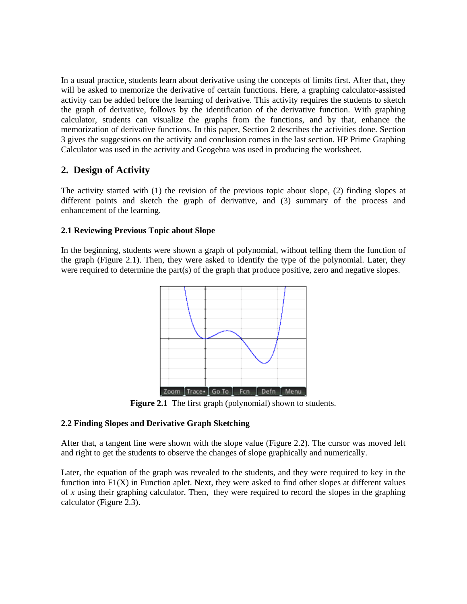In a usual practice, students learn about derivative using the concepts of limits first. After that, they will be asked to memorize the derivative of certain functions. Here, a graphing calculator-assisted activity can be added before the learning of derivative. This activity requires the students to sketch the graph of derivative, follows by the identification of the derivative function. With graphing calculator, students can visualize the graphs from the functions, and by that, enhance the memorization of derivative functions. In this paper, Section 2 describes the activities done. Section 3 gives the suggestions on the activity and conclusion comes in the last section. HP Prime Graphing Calculator was used in the activity and Geogebra was used in producing the worksheet.

## **2. Design of Activity**

The activity started with (1) the revision of the previous topic about slope, (2) finding slopes at different points and sketch the graph of derivative, and (3) summary of the process and enhancement of the learning.

## **2.1 Reviewing Previous Topic about Slope**

In the beginning, students were shown a graph of polynomial, without telling them the function of the graph (Figure 2.1). Then, they were asked to identify the type of the polynomial. Later, they were required to determine the part(s) of the graph that produce positive, zero and negative slopes.



**Figure 2.1** The first graph (polynomial) shown to students.

## **2.2 Finding Slopes and Derivative Graph Sketching**

After that, a tangent line were shown with the slope value (Figure 2.2). The cursor was moved left and right to get the students to observe the changes of slope graphically and numerically.

Later, the equation of the graph was revealed to the students, and they were required to key in the function into  $F1(X)$  in Function aplet. Next, they were asked to find other slopes at different values of *x* using their graphing calculator. Then, they were required to record the slopes in the graphing calculator (Figure 2.3).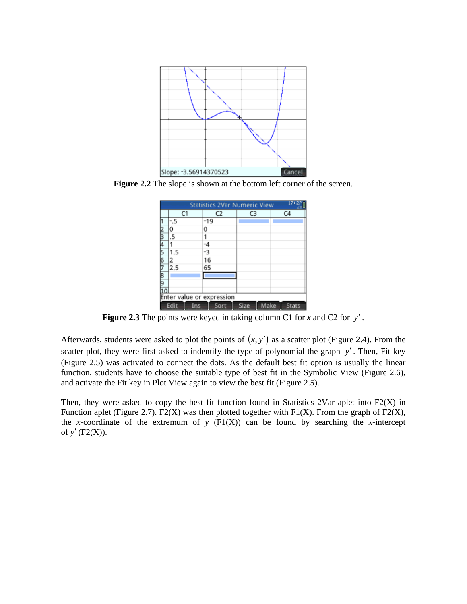

**Figure 2.2** The slope is shown at the bottom left corner of the screen.

| 17:22<br><b>Statistics 2Var Numeric View</b>        |     |       |    |  |    |  |  |  |
|-----------------------------------------------------|-----|-------|----|--|----|--|--|--|
|                                                     | C1  | C2    | C3 |  | C4 |  |  |  |
|                                                     | -.5 | $-19$ |    |  |    |  |  |  |
|                                                     | 0   | 0     |    |  |    |  |  |  |
|                                                     | .5  |       |    |  |    |  |  |  |
|                                                     |     | -4    |    |  |    |  |  |  |
| $\frac{4}{5}$                                       | 1.5 | -3    |    |  |    |  |  |  |
|                                                     |     | 16    |    |  |    |  |  |  |
|                                                     | 2.5 | 65    |    |  |    |  |  |  |
| 8                                                   |     |       |    |  |    |  |  |  |
| 9                                                   |     |       |    |  |    |  |  |  |
|                                                     |     |       |    |  |    |  |  |  |
| Enter value or expression                           |     |       |    |  |    |  |  |  |
| Edit<br>Make<br>Size<br>Ins<br>Sort<br><b>Stats</b> |     |       |    |  |    |  |  |  |

**Figure 2.3** The points were keyed in taking column C1 for *x* and C2 for *y* .

Afterwards, students were asked to plot the points of  $(x, y')$  as a scatter plot (Figure 2.4). From the scatter plot, they were first asked to indentify the type of polynomial the graph *y'*. Then, Fit key (Figure 2.5) was activated to connect the dots. As the default best fit option is usually the linear function, students have to choose the suitable type of best fit in the Symbolic View (Figure 2.6), and activate the Fit key in Plot View again to view the best fit (Figure 2.5).

Then, they were asked to copy the best fit function found in Statistics 2Var aplet into  $F2(X)$  in Function aplet (Figure 2.7). F2(X) was then plotted together with  $F1(X)$ . From the graph of  $F2(X)$ , the *x*-coordinate of the extremum of *y* ( $F1(X)$ ) can be found by searching the *x*-intercept of  $y'$  (F2(X)).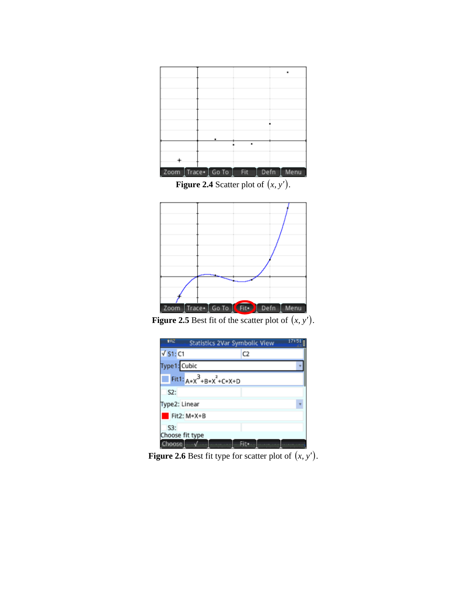

**Figure 2.4** Scatter plot of  $(x, y')$ .



**Figure 2.5** Best fit of the scatter plot of  $(x, y')$ .



**Figure 2.6** Best fit type for scatter plot of  $(x, y')$ .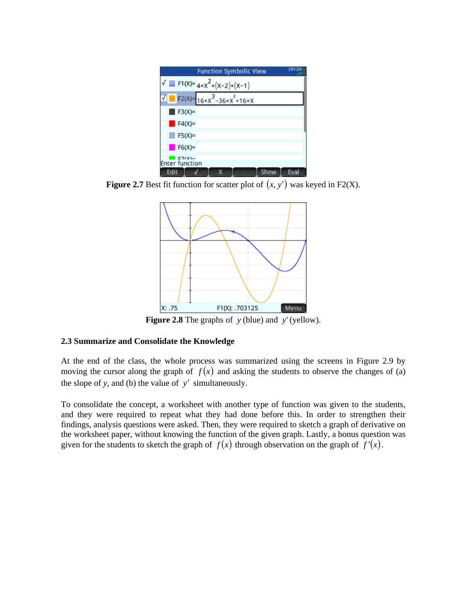| <b>Function Symbolic View</b>                   | 18:24 |
|-------------------------------------------------|-------|
| $\sqrt{ }$ F1(X)= 4*X <sup>2</sup> *(X-2)*(X-1) |       |
| $F2(X)=16*X^3-36*X^2+16*X$                      |       |
| $\blacksquare$ F3(X)=                           |       |
| $F4(X) =$                                       |       |
| $F5(X)=$                                        |       |
| $F6(X)=$                                        |       |
| $E7/V1-$<br><b>Enter function</b>               |       |
| Edit<br><b>Show</b>                             | Eval  |

**Figure 2.7** Best fit function for scatter plot of  $(x, y')$  was keyed in F2(X).



**Figure 2.8** The graphs of *y* (blue) and *y*' (yellow).

#### **2.3 Summarize and Consolidate the Knowledge**

At the end of the class, the whole process was summarized using the screens in Figure 2.9 by moving the cursor along the graph of  $f(x)$  and asking the students to observe the changes of (a) the slope of *y*, and (b) the value of  $y'$  simultaneously.

To consolidate the concept, a worksheet with another type of function was given to the students, and they were required to repeat what they had done before this. In order to strengthen their findings, analysis questions were asked. Then, they were required to sketch a graph of derivative on the worksheet paper, without knowing the function of the given graph. Lastly, a bonus question was given for the students to sketch the graph of  $f(x)$  through observation on the graph of  $f'(x)$ .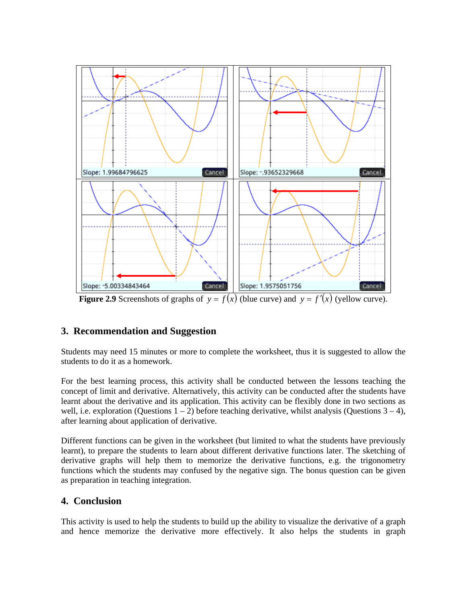

**Figure 2.9** Screenshots of graphs of  $y = f(x)$  (blue curve) and  $y = f'(x)$  (yellow curve).

## **3. Recommendation and Suggestion**

Students may need 15 minutes or more to complete the worksheet, thus it is suggested to allow the students to do it as a homework.

For the best learning process, this activity shall be conducted between the lessons teaching the concept of limit and derivative. Alternatively, this activity can be conducted after the students have learnt about the derivative and its application. This activity can be flexibly done in two sections as well, i.e. exploration (Questions  $1 - 2$ ) before teaching derivative, whilst analysis (Questions  $3 - 4$ ), after learning about application of derivative.

Different functions can be given in the worksheet (but limited to what the students have previously learnt), to prepare the students to learn about different derivative functions later. The sketching of derivative graphs will help them to memorize the derivative functions, e.g. the trigonometry functions which the students may confused by the negative sign. The bonus question can be given as preparation in teaching integration.

## **4. Conclusion**

This activity is used to help the students to build up the ability to visualize the derivative of a graph and hence memorize the derivative more effectively. It also helps the students in graph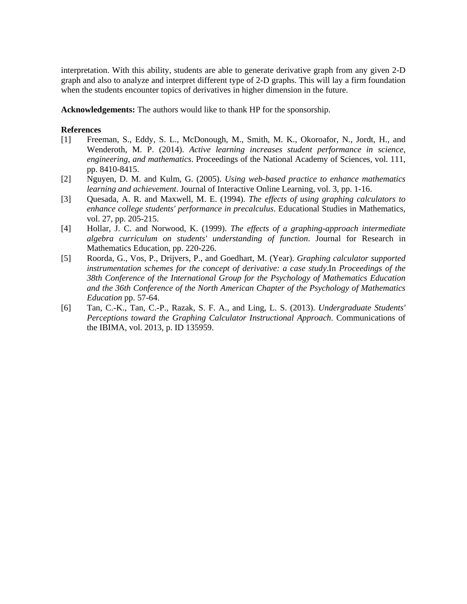interpretation. With this ability, students are able to generate derivative graph from any given 2-D graph and also to analyze and interpret different type of 2-D graphs. This will lay a firm foundation when the students encounter topics of derivatives in higher dimension in the future.

**Acknowledgements:** The authors would like to thank HP for the sponsorship.

#### **References**

- [1] Freeman, S., Eddy, S. L., McDonough, M., Smith, M. K., Okoroafor, N., Jordt, H., and Wenderoth, M. P. (2014). *Active learning increases student performance in science, engineering, and mathematics*. Proceedings of the National Academy of Sciences*,* vol. 111, pp. 8410-8415.
- [2] Nguyen, D. M. and Kulm, G. (2005). *Using web-based practice to enhance mathematics learning and achievement*. Journal of Interactive Online Learning*,* vol. 3, pp. 1-16.
- [3] Quesada, A. R. and Maxwell, M. E. (1994). *The effects of using graphing calculators to enhance college students' performance in precalculus*. Educational Studies in Mathematics*,*  vol. 27, pp. 205-215.
- [4] Hollar, J. C. and Norwood, K. (1999). *The effects of a graphing-approach intermediate algebra curriculum on students' understanding of function*. Journal for Research in Mathematics Education*,* pp. 220-226.
- [5] Roorda, G., Vos, P., Drijvers, P., and Goedhart, M. (Year). *Graphing calculator supported instrumentation schemes for the concept of derivative: a case study*.In *Proceedings of the 38th Conference of the International Group for the Psychology of Mathematics Education and the 36th Conference of the North American Chapter of the Psychology of Mathematics Education* pp. 57-64.
- [6] Tan, C.-K., Tan, C.-P., Razak, S. F. A., and Ling, L. S. (2013). *Undergraduate Students' Perceptions toward the Graphing Calculator Instructional Approach*. Communications of the IBIMA*,* vol. 2013, p. ID 135959.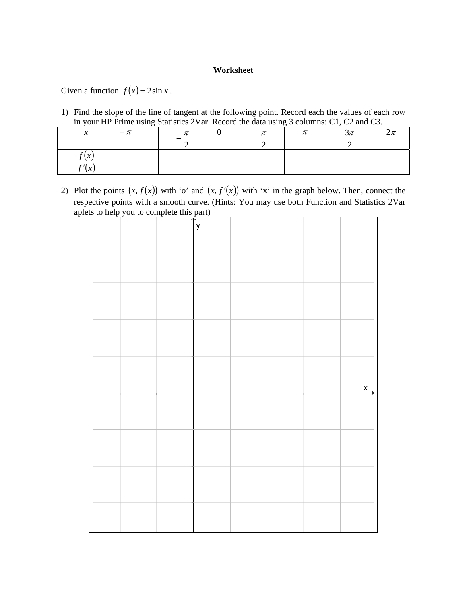#### **Worksheet**

Given a function  $f(x) = 2\sin x$ .

1) Find the slope of the line of tangent at the following point. Record each the values of each row in your HP Prime using Statistics 2Var. Record the data using 3 columns: C1, C2 and C3.

| In your life finite aging bumbles $\frac{1}{2}$ , and hecord the data aging $\frac{1}{2}$ continued $\frac{1}{2}$ , $\frac{1}{2}$ and $\frac{1}{2}$ . |        |  |  |  |  |        |      |
|-------------------------------------------------------------------------------------------------------------------------------------------------------|--------|--|--|--|--|--------|------|
| ひ                                                                                                                                                     | $-\pi$ |  |  |  |  | $5\pi$ | ، رے |
|                                                                                                                                                       |        |  |  |  |  |        |      |
| $\mathbf{a}$<br>ıπ                                                                                                                                    |        |  |  |  |  |        |      |
| $\mathbf{r}$<br>$\lambda$                                                                                                                             |        |  |  |  |  |        |      |

2) Plot the points  $(x, f(x))$  with 'o' and  $(x, f'(x))$  with 'x' in the graph below. Then, connect the respective points with a smooth curve. (Hints: You may use both Function and Statistics 2Var aplets to help you to complete this part)

|  | $\uparrow$ <sub>y</sub> |  |                                        |
|--|-------------------------|--|----------------------------------------|
|  |                         |  |                                        |
|  |                         |  |                                        |
|  |                         |  |                                        |
|  |                         |  | $\stackrel{\text{X}}{\longrightarrow}$ |
|  |                         |  |                                        |
|  |                         |  |                                        |
|  |                         |  |                                        |
|  |                         |  |                                        |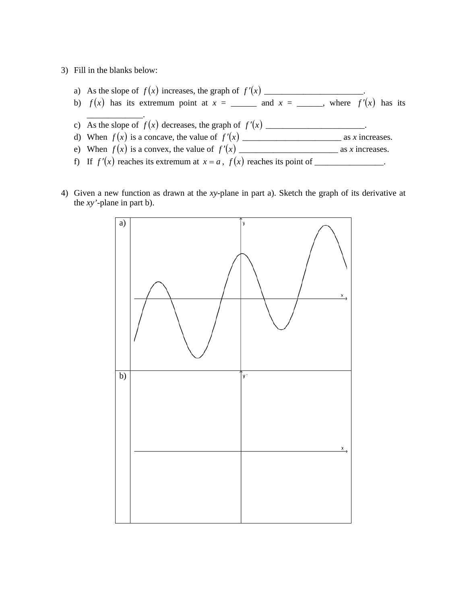- 3) Fill in the blanks below:
	- a) As the slope of  $f(x)$  increases, the graph of  $f'(x)$  \_\_\_\_\_\_\_\_\_\_\_\_\_\_\_\_\_\_\_\_\_\_\_\_. b)  $f(x)$  has its extremum point at  $x =$  \_\_\_\_\_\_ and  $x =$  \_\_\_\_\_, where  $f'(x)$  has its \_\_\_\_\_\_\_\_\_\_\_\_\_. c) As the slope of  $f(x)$  decreases, the graph of  $f'(x)$  \_\_\_\_\_\_\_\_\_\_\_\_\_\_\_\_\_\_\_\_\_\_\_. d) When *f x* is a concave, the value of *f x* \_\_\_\_\_\_\_\_\_\_\_\_\_\_\_\_\_\_\_\_\_\_\_ as *x* increases. e) When *f x* is a convex, the value of *f x* \_\_\_\_\_\_\_\_\_\_\_\_\_\_\_\_\_\_\_\_\_\_\_ as *x* increases. f) If  $f'(x)$  reaches its extremum at  $x = a$ ,  $f(x)$  reaches its point of \_\_\_\_\_\_\_\_\_\_\_.
- 4) Given a new function as drawn at the *xy*-plane in part a). Sketch the graph of its derivative at the *xy'*-plane in part b).